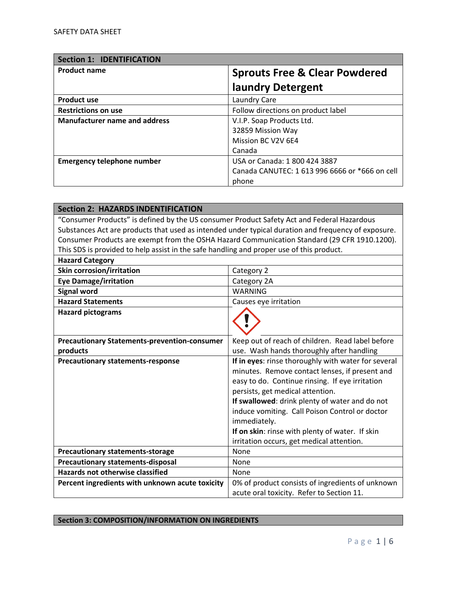| <b>Section 1: IDENTIFICATION</b>     |                                                |
|--------------------------------------|------------------------------------------------|
| <b>Product name</b>                  | <b>Sprouts Free &amp; Clear Powdered</b>       |
|                                      | laundry Detergent                              |
| <b>Product use</b>                   | Laundry Care                                   |
| <b>Restrictions on use</b>           | Follow directions on product label             |
| <b>Manufacturer name and address</b> | V.I.P. Soap Products Ltd.                      |
|                                      | 32859 Mission Way                              |
|                                      | Mission BC V2V 6E4                             |
|                                      | Canada                                         |
| <b>Emergency telephone number</b>    | USA or Canada: 1 800 424 3887                  |
|                                      | Canada CANUTEC: 1 613 996 6666 or *666 on cell |
|                                      | phone                                          |

| <b>Section 2: HAZARDS INDENTIFICATION</b>                                                  |                                                                                                     |
|--------------------------------------------------------------------------------------------|-----------------------------------------------------------------------------------------------------|
| "Consumer Products" is defined by the US consumer Product Safety Act and Federal Hazardous |                                                                                                     |
|                                                                                            | Substances Act are products that used as intended under typical duration and frequency of exposure. |
|                                                                                            | Consumer Products are exempt from the OSHA Hazard Communication Standard (29 CFR 1910.1200).        |
| This SDS is provided to help assist in the safe handling and proper use of this product.   |                                                                                                     |
| <b>Hazard Category</b>                                                                     |                                                                                                     |
| <b>Skin corrosion/irritation</b>                                                           | Category 2                                                                                          |
| <b>Eye Damage/irritation</b>                                                               | Category 2A                                                                                         |
| <b>Signal word</b>                                                                         | <b>WARNING</b>                                                                                      |
| <b>Hazard Statements</b>                                                                   | Causes eye irritation                                                                               |
| <b>Hazard pictograms</b>                                                                   |                                                                                                     |
|                                                                                            |                                                                                                     |
|                                                                                            |                                                                                                     |
| <b>Precautionary Statements-prevention-consumer</b>                                        | Keep out of reach of children. Read label before                                                    |
| products                                                                                   | use. Wash hands thoroughly after handling                                                           |
| <b>Precautionary statements-response</b>                                                   | If in eyes: rinse thoroughly with water for several                                                 |
|                                                                                            | minutes. Remove contact lenses, if present and                                                      |
|                                                                                            | easy to do. Continue rinsing. If eye irritation                                                     |
|                                                                                            | persists, get medical attention.                                                                    |
|                                                                                            | If swallowed: drink plenty of water and do not                                                      |
|                                                                                            | induce vomiting. Call Poison Control or doctor                                                      |
|                                                                                            | immediately.                                                                                        |
|                                                                                            | If on skin: rinse with plenty of water. If skin                                                     |
|                                                                                            | irritation occurs, get medical attention.                                                           |
| <b>Precautionary statements-storage</b>                                                    | None                                                                                                |
| <b>Precautionary statements-disposal</b>                                                   | None                                                                                                |
| <b>Hazards not otherwise classified</b>                                                    | None                                                                                                |
| Percent ingredients with unknown acute toxicity                                            | 0% of product consists of ingredients of unknown                                                    |
|                                                                                            | acute oral toxicity. Refer to Section 11.                                                           |

## **Section 3: COMPOSITION/INFORMATION ON INGREDIENTS**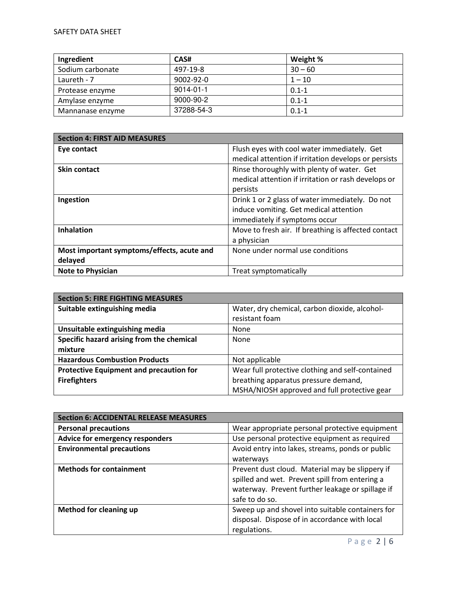| Ingredient       | CAS#            | Weight %  |
|------------------|-----------------|-----------|
| Sodium carbonate | 497-19-8        | $30 - 60$ |
| Laureth - 7      | $9002 - 92 - 0$ | $1 - 10$  |
| Protease enzyme  | $9014 - 01 - 1$ | $0.1 - 1$ |
| Amylase enzyme   | 9000-90-2       | $0.1 - 1$ |
| Mannanase enzyme | 37288-54-3      | $0.1 - 1$ |

| <b>Section 4: FIRST AID MEASURES</b>       |                                                      |
|--------------------------------------------|------------------------------------------------------|
| Eye contact                                | Flush eyes with cool water immediately. Get          |
|                                            | medical attention if irritation develops or persists |
| <b>Skin contact</b>                        | Rinse thoroughly with plenty of water. Get           |
|                                            | medical attention if irritation or rash develops or  |
|                                            | persists                                             |
| Ingestion                                  | Drink 1 or 2 glass of water immediately. Do not      |
|                                            | induce vomiting. Get medical attention               |
|                                            | immediately if symptoms occur                        |
| <b>Inhalation</b>                          | Move to fresh air. If breathing is affected contact  |
|                                            | a physician                                          |
| Most important symptoms/effects, acute and | None under normal use conditions                     |
| delayed                                    |                                                      |
| <b>Note to Physician</b>                   | Treat symptomatically                                |

| <b>Section 5: FIRE FIGHTING MEASURES</b>       |                                                  |  |
|------------------------------------------------|--------------------------------------------------|--|
| Suitable extinguishing media                   | Water, dry chemical, carbon dioxide, alcohol-    |  |
|                                                | resistant foam                                   |  |
| Unsuitable extinguishing media                 | None                                             |  |
| Specific hazard arising from the chemical      | None                                             |  |
| mixture                                        |                                                  |  |
| <b>Hazardous Combustion Products</b>           | Not applicable                                   |  |
| <b>Protective Equipment and precaution for</b> | Wear full protective clothing and self-contained |  |
| <b>Firefighters</b>                            | breathing apparatus pressure demand,             |  |
|                                                | MSHA/NIOSH approved and full protective gear     |  |

| <b>Section 6: ACCIDENTAL RELEASE MEASURES</b> |                                                  |
|-----------------------------------------------|--------------------------------------------------|
| <b>Personal precautions</b>                   | Wear appropriate personal protective equipment   |
| Advice for emergency responders               | Use personal protective equipment as required    |
| <b>Environmental precautions</b>              | Avoid entry into lakes, streams, ponds or public |
|                                               | waterways                                        |
| <b>Methods for containment</b>                | Prevent dust cloud. Material may be slippery if  |
|                                               | spilled and wet. Prevent spill from entering a   |
|                                               | waterway. Prevent further leakage or spillage if |
|                                               | safe to do so.                                   |
| <b>Method for cleaning up</b>                 | Sweep up and shovel into suitable containers for |
|                                               | disposal. Dispose of in accordance with local    |
|                                               | regulations.                                     |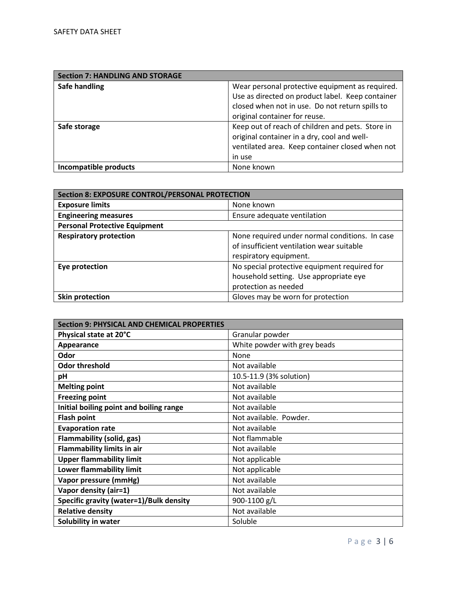| <b>Section 7: HANDLING AND STORAGE</b> |                                                  |
|----------------------------------------|--------------------------------------------------|
| Safe handling                          | Wear personal protective equipment as required.  |
|                                        | Use as directed on product label. Keep container |
|                                        | closed when not in use. Do not return spills to  |
|                                        | original container for reuse.                    |
| Safe storage                           | Keep out of reach of children and pets. Store in |
|                                        | original container in a dry, cool and well-      |
|                                        | ventilated area. Keep container closed when not  |
|                                        | in use                                           |
| Incompatible products                  | None known                                       |

| <b>Section 8: EXPOSURE CONTROL/PERSONAL PROTECTION</b> |                                                                                             |
|--------------------------------------------------------|---------------------------------------------------------------------------------------------|
| <b>Exposure limits</b>                                 | None known                                                                                  |
| <b>Engineering measures</b>                            | Ensure adequate ventilation                                                                 |
| <b>Personal Protective Equipment</b>                   |                                                                                             |
| <b>Respiratory protection</b>                          | None required under normal conditions. In case<br>of insufficient ventilation wear suitable |
|                                                        | respiratory equipment.                                                                      |
| Eye protection                                         | No special protective equipment required for                                                |
|                                                        | household setting. Use appropriate eye                                                      |
|                                                        | protection as needed                                                                        |
| Skin protection                                        | Gloves may be worn for protection                                                           |

| <b>Section 9: PHYSICAL AND CHEMICAL PROPERTIES</b> |                              |
|----------------------------------------------------|------------------------------|
| Physical state at 20°C                             | Granular powder              |
| Appearance                                         | White powder with grey beads |
| Odor                                               | None                         |
| <b>Odor threshold</b>                              | Not available                |
| pH                                                 | 10.5-11.9 (3% solution)      |
| <b>Melting point</b>                               | Not available                |
| <b>Freezing point</b>                              | Not available                |
| Initial boiling point and boiling range            | Not available                |
| <b>Flash point</b>                                 | Not available. Powder.       |
| <b>Evaporation rate</b>                            | Not available                |
| <b>Flammability (solid, gas)</b>                   | Not flammable                |
| <b>Flammability limits in air</b>                  | Not available                |
| <b>Upper flammability limit</b>                    | Not applicable               |
| Lower flammability limit                           | Not applicable               |
| Vapor pressure (mmHg)                              | Not available                |
| Vapor density (air=1)                              | Not available                |
| Specific gravity (water=1)/Bulk density            | 900-1100 g/L                 |
| <b>Relative density</b>                            | Not available                |
| Solubility in water                                | Soluble                      |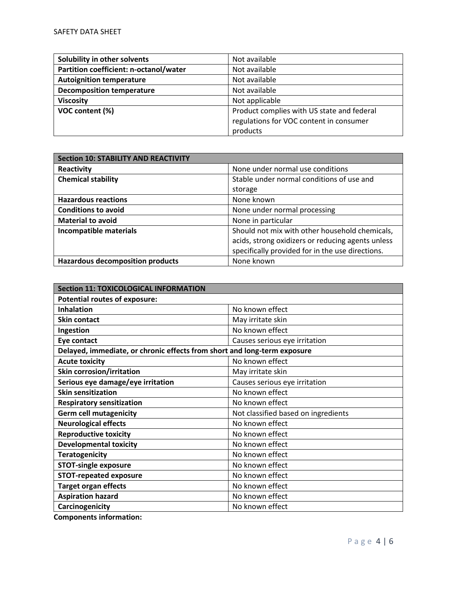| Solubility in other solvents           | Not available                              |
|----------------------------------------|--------------------------------------------|
| Partition coefficient: n-octanol/water | Not available                              |
| <b>Autoignition temperature</b>        | Not available                              |
| <b>Decomposition temperature</b>       | Not available                              |
| <b>Viscosity</b>                       | Not applicable                             |
| VOC content (%)                        | Product complies with US state and federal |
|                                        | regulations for VOC content in consumer    |
|                                        | products                                   |

| <b>Section 10: STABILITY AND REACTIVITY</b> |                                                   |
|---------------------------------------------|---------------------------------------------------|
| Reactivity                                  | None under normal use conditions                  |
| <b>Chemical stability</b>                   | Stable under normal conditions of use and         |
|                                             | storage                                           |
| <b>Hazardous reactions</b>                  | None known                                        |
| <b>Conditions to avoid</b>                  | None under normal processing                      |
| <b>Material to avoid</b>                    | None in particular                                |
| Incompatible materials                      | Should not mix with other household chemicals,    |
|                                             | acids, strong oxidizers or reducing agents unless |
|                                             | specifically provided for in the use directions.  |
| <b>Hazardous decomposition products</b>     | None known                                        |

| <b>Section 11: TOXICOLOGICAL INFORMATION</b>                             |                                     |  |
|--------------------------------------------------------------------------|-------------------------------------|--|
| <b>Potential routes of exposure:</b>                                     |                                     |  |
| <b>Inhalation</b>                                                        | No known effect                     |  |
| <b>Skin contact</b>                                                      | May irritate skin                   |  |
| Ingestion                                                                | No known effect                     |  |
| Eye contact                                                              | Causes serious eye irritation       |  |
| Delayed, immediate, or chronic effects from short and long-term exposure |                                     |  |
| <b>Acute toxicity</b>                                                    | No known effect                     |  |
| <b>Skin corrosion/irritation</b>                                         | May irritate skin                   |  |
| Serious eye damage/eye irritation                                        | Causes serious eye irritation       |  |
| <b>Skin sensitization</b>                                                | No known effect                     |  |
| <b>Respiratory sensitization</b>                                         | No known effect                     |  |
| <b>Germ cell mutagenicity</b>                                            | Not classified based on ingredients |  |
| <b>Neurological effects</b>                                              | No known effect                     |  |
| <b>Reproductive toxicity</b>                                             | No known effect                     |  |
| <b>Developmental toxicity</b>                                            | No known effect                     |  |
| <b>Teratogenicity</b>                                                    | No known effect                     |  |
| <b>STOT-single exposure</b>                                              | No known effect                     |  |
| <b>STOT-repeated exposure</b>                                            | No known effect                     |  |
| <b>Target organ effects</b>                                              | No known effect                     |  |
| <b>Aspiration hazard</b>                                                 | No known effect                     |  |
| Carcinogenicity                                                          | No known effect                     |  |

**Components information:**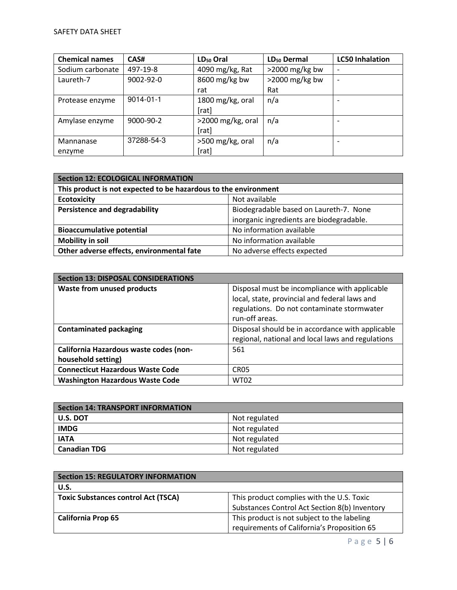| <b>Chemical names</b> | CAS#       | $LD_{50}$ Oral    | LD <sub>50</sub> Dermal | <b>LC50 Inhalation</b> |
|-----------------------|------------|-------------------|-------------------------|------------------------|
| Sodium carbonate      | 497-19-8   | 4090 mg/kg, Rat   | $>$ 2000 mg/kg bw       |                        |
| Laureth-7             | 9002-92-0  | 8600 mg/kg bw     | $>$ 2000 mg/kg bw       |                        |
|                       |            | rat               | Rat                     |                        |
| Protease enzyme       | 9014-01-1  | 1800 mg/kg, oral  | n/a                     |                        |
|                       |            | [rat]             |                         |                        |
| Amylase enzyme        | 9000-90-2  | >2000 mg/kg, oral | n/a                     |                        |
|                       |            | [rat]             |                         |                        |
| Mannanase             | 37288-54-3 | >500 mg/kg, oral  | n/a                     |                        |
| enzyme                |            | [rat]             |                         |                        |

| <b>Section 12: ECOLOGICAL INFORMATION</b>                                |                                          |  |
|--------------------------------------------------------------------------|------------------------------------------|--|
| This product is not expected to be hazardous to the environment          |                                          |  |
| <b>Ecotoxicity</b><br>Not available                                      |                                          |  |
| <b>Persistence and degradability</b>                                     | Biodegradable based on Laureth-7. None   |  |
|                                                                          | inorganic ingredients are biodegradable. |  |
| No information available<br><b>Bioaccumulative potential</b>             |                                          |  |
| <b>Mobility in soil</b>                                                  | No information available                 |  |
| Other adverse effects, environmental fate<br>No adverse effects expected |                                          |  |

| <b>Section 13: DISPOSAL CONSIDERATIONS</b> |                                                   |  |
|--------------------------------------------|---------------------------------------------------|--|
| <b>Waste from unused products</b>          | Disposal must be incompliance with applicable     |  |
|                                            | local, state, provincial and federal laws and     |  |
|                                            | regulations. Do not contaminate stormwater        |  |
|                                            | run-off areas.                                    |  |
| <b>Contaminated packaging</b>              | Disposal should be in accordance with applicable  |  |
|                                            | regional, national and local laws and regulations |  |
| California Hazardous waste codes (non-     | 561                                               |  |
| household setting)                         |                                                   |  |
| <b>Connecticut Hazardous Waste Code</b>    | CR <sub>05</sub>                                  |  |
| <b>Washington Hazardous Waste Code</b>     | <b>WT02</b>                                       |  |

| <b>Section 14: TRANSPORT INFORMATION</b> |               |  |
|------------------------------------------|---------------|--|
| U.S. DOT                                 | Not regulated |  |
| <b>IMDG</b>                              | Not regulated |  |
| <b>IATA</b>                              | Not regulated |  |
| <b>Canadian TDG</b>                      | Not regulated |  |

| Section 15: REGULATORY INFORMATION         |                                               |
|--------------------------------------------|-----------------------------------------------|
| U.S.                                       |                                               |
| <b>Toxic Substances control Act (TSCA)</b> | This product complies with the U.S. Toxic     |
|                                            | Substances Control Act Section 8(b) Inventory |
| <b>California Prop 65</b>                  | This product is not subject to the labeling   |
|                                            | requirements of California's Proposition 65   |